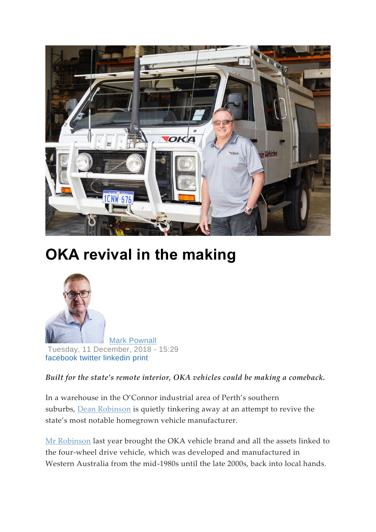

## **OKA revival in the making**



[Mark Pownall](https://www.businessnews.com.au/Author/Mark-Pownall) Tuesday, 11 December, 2018 - 15:29 [facebook](https://www.facebook.com/sharer/sharer.php?u=https://www.businessnews.com.au/article/OKA-revival-in-the-making) [twitter](https://twitter.com/intent/tweet?text=OKA+revival+in+the+making+%23manufacturing+%2325years+%23anniversary&url=https://www.businessnews.com.au/article/OKA-revival-in-the-making) [linkedin](http://www.linkedin.com/shareArticle?mini=true&url=https://www.businessnews.com.au/article/OKA-revival-in-the-making) [print](https://www.businessnews.com.au/print/node/390765)

*Built for the state's remote interior, OKA vehicles could be making a comeback.*

In a warehouse in the O'Connor industrial area of Perth's southern suburbs, **[Dean Robinson](https://www.businessnews.com.au/Person/Dean-Robinson)** is quietly tinkering away at an attempt to revive the state's most notable homegrown vehicle manufacturer.

[Mr Robinson](https://www.businessnews.com.au/Person/Dean-Robinson) last year brought the OKA vehicle brand and all the assets linked to the four-wheel drive vehicle, which was developed and manufactured in Western Australia from the mid-1980s until the late 2000s, back into local hands.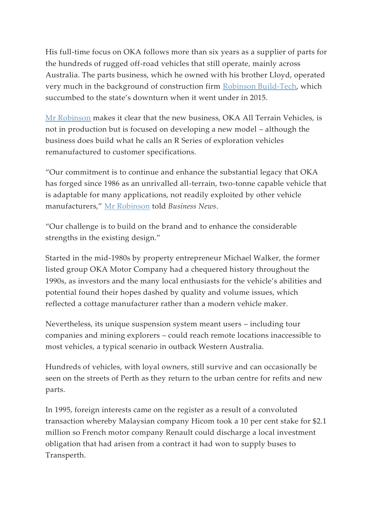His full-time focus on OKA follows more than six years as a supplier of parts for the hundreds of rugged off-road vehicles that still operate, mainly across Australia. The parts business, which he owned with his brother Lloyd, operated very much in the background of construction firm [Robinson Build-Tech,](https://www.businessnews.com.au/Company/Robinson-Build-Tech) which succumbed to the state's downturn when it went under in 2015.

[Mr Robinson](https://www.businessnews.com.au/Person/Dean-Robinson) makes it clear that the new business, OKA All Terrain Vehicles, is not in production but is focused on developing a new model – although the business does build what he calls an R Series of exploration vehicles remanufactured to customer specifications.

"Our commitment is to continue and enhance the substantial legacy that OKA has forged since 1986 as an unrivalled all-terrain, two-tonne capable vehicle that is adaptable for many applications, not readily exploited by other vehicle manufacturers," [Mr Robinson](https://www.businessnews.com.au/Person/Dean-Robinson) told *Business News*.

"Our challenge is to build on the brand and to enhance the considerable strengths in the existing design."

Started in the mid-1980s by property entrepreneur Michael Walker, the former listed group OKA Motor Company had a chequered history throughout the 1990s, as investors and the many local enthusiasts for the vehicle's abilities and potential found their hopes dashed by quality and volume issues, which reflected a cottage manufacturer rather than a modern vehicle maker.

Nevertheless, its unique suspension system meant users – including tour companies and mining explorers – could reach remote locations inaccessible to most vehicles, a typical scenario in outback Western Australia.

Hundreds of vehicles, with loyal owners, still survive and can occasionally be seen on the streets of Perth as they return to the urban centre for refits and new parts.

In 1995, foreign interests came on the register as a result of a convoluted transaction whereby Malaysian company Hicom took a 10 per cent stake for \$2.1 million so French motor company Renault could discharge a local investment obligation that had arisen from a contract it had won to supply buses to Transperth.